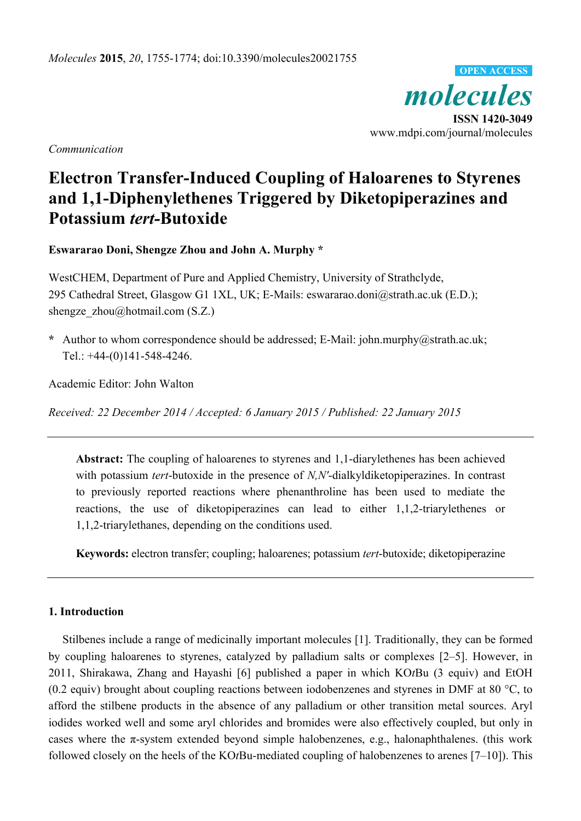*molecules*  **ISSN 1420-3049**  www.mdpi.com/journal/molecules **OPEN ACCESS**

*Communication* 

# **Electron Transfer-Induced Coupling of Haloarenes to Styrenes and 1,1-Diphenylethenes Triggered by Diketopiperazines and Potassium** *tert-***Butoxide**

**Eswararao Doni, Shengze Zhou and John A. Murphy \*** 

WestCHEM, Department of Pure and Applied Chemistry, University of Strathclyde, 295 Cathedral Street, Glasgow G1 1XL, UK; E-Mails: eswararao.doni@strath.ac.uk (E.D.); shengze  $zhou@hotmail.com (S.Z.)$ 

**\*** Author to whom correspondence should be addressed; E-Mail: john.murphy@strath.ac.uk; Tel.: +44-(0)141-548-4246.

Academic Editor: John Walton

*Received: 22 December 2014 / Accepted: 6 January 2015 / Published: 22 January 2015* 

**Abstract:** The coupling of haloarenes to styrenes and 1,1-diarylethenes has been achieved with potassium *tert*-butoxide in the presence of *N,N'*-dialkyldiketopiperazines. In contrast to previously reported reactions where phenanthroline has been used to mediate the reactions, the use of diketopiperazines can lead to either 1,1,2-triarylethenes or 1,1,2-triarylethanes, depending on the conditions used.

**Keywords:** electron transfer; coupling; haloarenes; potassium *tert*-butoxide; diketopiperazine

# **1. Introduction**

Stilbenes include a range of medicinally important molecules [1]. Traditionally, they can be formed by coupling haloarenes to styrenes, catalyzed by palladium salts or complexes [2–5]. However, in 2011, Shirakawa, Zhang and Hayashi [6] published a paper in which KO*t*Bu (3 equiv) and EtOH (0.2 equiv) brought about coupling reactions between iodobenzenes and styrenes in DMF at 80 °C, to afford the stilbene products in the absence of any palladium or other transition metal sources. Aryl iodides worked well and some aryl chlorides and bromides were also effectively coupled, but only in cases where the  $\pi$ -system extended beyond simple halobenzenes, e.g., halonaphthalenes. (this work followed closely on the heels of the KO*t*Bu-mediated coupling of halobenzenes to arenes [7–10]). This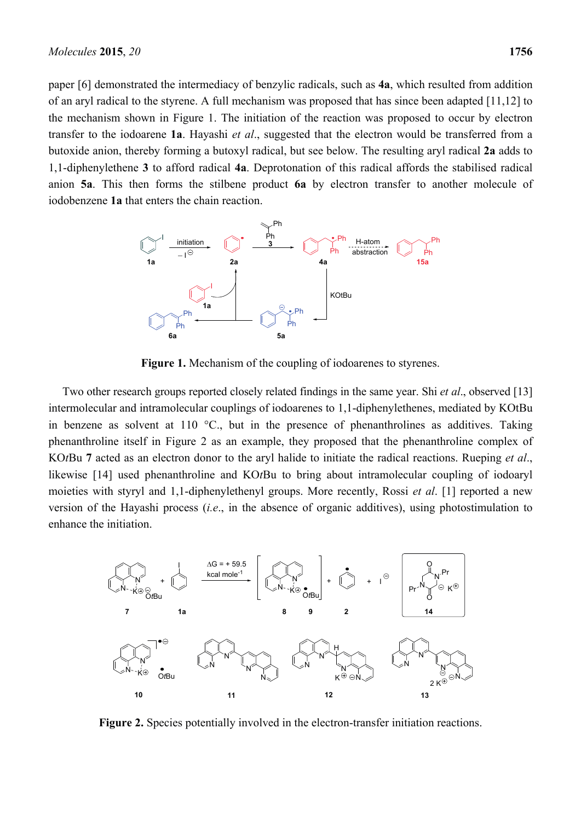paper [6] demonstrated the intermediacy of benzylic radicals, such as **4a**, which resulted from addition of an aryl radical to the styrene. A full mechanism was proposed that has since been adapted [11,12] to the mechanism shown in Figure 1. The initiation of the reaction was proposed to occur by electron transfer to the iodoarene **1a**. Hayashi *et al*., suggested that the electron would be transferred from a butoxide anion, thereby forming a butoxyl radical, but see below. The resulting aryl radical **2a** adds to 1,1-diphenylethene **3** to afford radical **4a**. Deprotonation of this radical affords the stabilised radical anion **5a**. This then forms the stilbene product **6a** by electron transfer to another molecule of iodobenzene **1a** that enters the chain reaction.



Figure 1. Mechanism of the coupling of iodoarenes to styrenes.

Two other research groups reported closely related findings in the same year. Shi *et al*., observed [13] intermolecular and intramolecular couplings of iodoarenes to 1,1-diphenylethenes, mediated by KOtBu in benzene as solvent at 110  $\degree$ C., but in the presence of phenanthrolines as additives. Taking phenanthroline itself in Figure 2 as an example, they proposed that the phenanthroline complex of KO*t*Bu **7** acted as an electron donor to the aryl halide to initiate the radical reactions. Rueping *et al*., likewise [14] used phenanthroline and KO*t*Bu to bring about intramolecular coupling of iodoaryl moieties with styryl and 1,1-diphenylethenyl groups. More recently, Rossi *et al*. [1] reported a new version of the Hayashi process (*i.e*., in the absence of organic additives), using photostimulation to enhance the initiation.



**Figure 2.** Species potentially involved in the electron-transfer initiation reactions.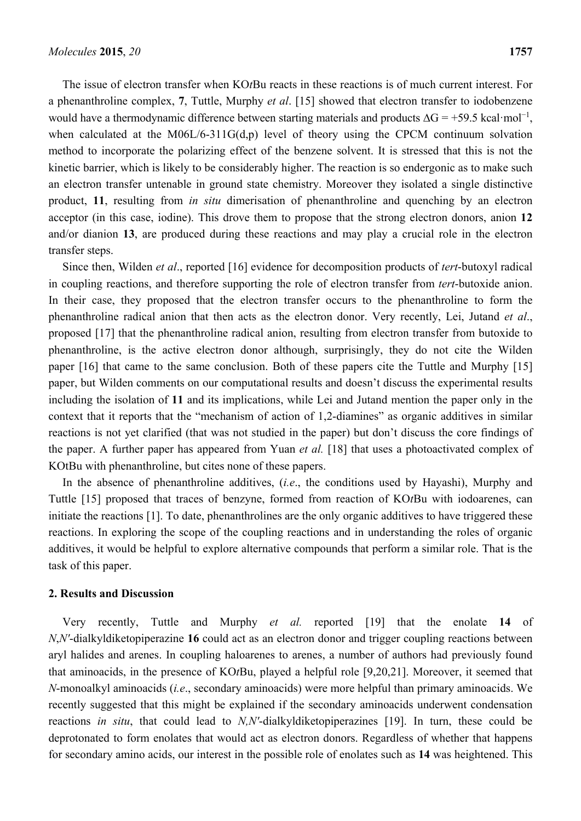The issue of electron transfer when KO*t*Bu reacts in these reactions is of much current interest. For a phenanthroline complex, **7**, Tuttle, Murphy *et al*. [15] showed that electron transfer to iodobenzene would have a thermodynamic difference between starting materials and products  $\Delta G = +59.5 \text{ kcal} \cdot \text{mol}^{-1}$ , when calculated at the M06L/6-311G(d,p) level of theory using the CPCM continuum solvation method to incorporate the polarizing effect of the benzene solvent. It is stressed that this is not the kinetic barrier, which is likely to be considerably higher. The reaction is so endergonic as to make such an electron transfer untenable in ground state chemistry. Moreover they isolated a single distinctive product, **11**, resulting from *in situ* dimerisation of phenanthroline and quenching by an electron acceptor (in this case, iodine). This drove them to propose that the strong electron donors, anion **12** and/or dianion **13**, are produced during these reactions and may play a crucial role in the electron transfer steps.

Since then, Wilden *et al*., reported [16] evidence for decomposition products of *tert*-butoxyl radical in coupling reactions, and therefore supporting the role of electron transfer from *tert*-butoxide anion. In their case, they proposed that the electron transfer occurs to the phenanthroline to form the phenanthroline radical anion that then acts as the electron donor. Very recently, Lei, Jutand *et al*., proposed [17] that the phenanthroline radical anion, resulting from electron transfer from butoxide to phenanthroline, is the active electron donor although, surprisingly, they do not cite the Wilden paper [16] that came to the same conclusion. Both of these papers cite the Tuttle and Murphy [15] paper, but Wilden comments on our computational results and doesn't discuss the experimental results including the isolation of **11** and its implications, while Lei and Jutand mention the paper only in the context that it reports that the "mechanism of action of 1,2-diamines" as organic additives in similar reactions is not yet clarified (that was not studied in the paper) but don't discuss the core findings of the paper. A further paper has appeared from Yuan *et al.* [18] that uses a photoactivated complex of KOtBu with phenanthroline, but cites none of these papers.

In the absence of phenanthroline additives, (*i.e*., the conditions used by Hayashi), Murphy and Tuttle [15] proposed that traces of benzyne, formed from reaction of KO*t*Bu with iodoarenes, can initiate the reactions [1]. To date, phenanthrolines are the only organic additives to have triggered these reactions. In exploring the scope of the coupling reactions and in understanding the roles of organic additives, it would be helpful to explore alternative compounds that perform a similar role. That is the task of this paper.

### **2. Results and Discussion**

Very recently, Tuttle and Murphy *et al.* reported [19] that the enolate **14** of *N*,*N'*-dialkyldiketopiperazine **16** could act as an electron donor and trigger coupling reactions between aryl halides and arenes. In coupling haloarenes to arenes, a number of authors had previously found that aminoacids, in the presence of KO*t*Bu, played a helpful role [9,20,21]. Moreover, it seemed that *N*-monoalkyl aminoacids (*i.e*., secondary aminoacids) were more helpful than primary aminoacids. We recently suggested that this might be explained if the secondary aminoacids underwent condensation reactions *in situ*, that could lead to *N,N'*-dialkyldiketopiperazines [19]. In turn, these could be deprotonated to form enolates that would act as electron donors. Regardless of whether that happens for secondary amino acids, our interest in the possible role of enolates such as **14** was heightened. This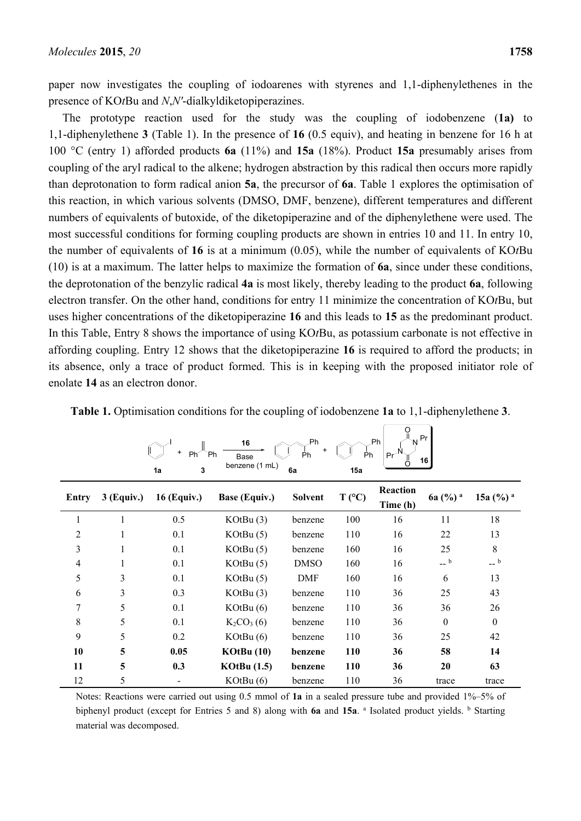paper now investigates the coupling of iodoarenes with styrenes and 1,1-diphenylethenes in the presence of KO*t*Bu and *N*,*N'*-dialkyldiketopiperazines.

The prototype reaction used for the study was the coupling of iodobenzene (**1a)** to 1,1-diphenylethene **3** (Table 1). In the presence of **16** (0.5 equiv), and heating in benzene for 16 h at 100 °C (entry 1) afforded products **6a** (11%) and **15a** (18%). Product **15a** presumably arises from coupling of the aryl radical to the alkene; hydrogen abstraction by this radical then occurs more rapidly than deprotonation to form radical anion **5a**, the precursor of **6a**. Table 1 explores the optimisation of this reaction, in which various solvents (DMSO, DMF, benzene), different temperatures and different numbers of equivalents of butoxide, of the diketopiperazine and of the diphenylethene were used. The most successful conditions for forming coupling products are shown in entries 10 and 11. In entry 10, the number of equivalents of **16** is at a minimum (0.05), while the number of equivalents of KO*t*Bu (10) is at a maximum. The latter helps to maximize the formation of **6a**, since under these conditions, the deprotonation of the benzylic radical **4a** is most likely, thereby leading to the product **6a**, following electron transfer. On the other hand, conditions for entry 11 minimize the concentration of KO*t*Bu, but uses higher concentrations of the diketopiperazine **16** and this leads to **15** as the predominant product. In this Table, Entry 8 shows the importance of using KO*t*Bu, as potassium carbonate is not effective in affording coupling. Entry 12 shows that the diketopiperazine **16** is required to afford the products; in its absence, only a trace of product formed. This is in keeping with the proposed initiator role of enolate **14** as an electron donor.

| ⊬Pr<br>.Ph  <br>.Ph<br>16<br>+<br>`Ph<br>$Pr^{-1}$<br>Ph <sup>2</sup><br>Ph<br>Ph<br>Base<br>16 <br>benzene (1 mL)<br>3<br>6a<br>15a<br>1a |            |                    |                      |                |                 |                      |                     |                       |
|--------------------------------------------------------------------------------------------------------------------------------------------|------------|--------------------|----------------------|----------------|-----------------|----------------------|---------------------|-----------------------|
| Entry                                                                                                                                      | 3 (Equiv.) | <b>16 (Equiv.)</b> | <b>Base (Equiv.)</b> | <b>Solvent</b> | $T (^{\circ}C)$ | Reaction<br>Time (h) | 6a (%) <sup>a</sup> | 15a $(\frac{9}{6})^a$ |
|                                                                                                                                            |            | 0.5                | KOtBu(3)             | benzene        | 100             | 16                   | 11                  | 18                    |
| 2                                                                                                                                          |            | 0.1                | KOtBu(5)             | benzene        | 110             | 16                   | 22                  | 13                    |
| 3                                                                                                                                          |            | 0.1                | KOtBu(5)             | benzene        | 160             | 16                   | 25                  | 8                     |
| $\overline{4}$                                                                                                                             |            | 0.1                | KOtBu(5)             | <b>DMSO</b>    | 160             | 16                   | $-$ b               | $-$ b                 |
| 5                                                                                                                                          | 3          | 0.1                | KOtBu(5)             | DMF            | 160             | 16                   | 6                   | 13                    |
| 6                                                                                                                                          | 3          | 0.3                | KOtBu(3)             | benzene        | 110             | 36                   | 25                  | 43                    |
| 7                                                                                                                                          | 5          | 0.1                | KOtBu(6)             | benzene        | 110             | 36                   | 36                  | 26                    |
| 8                                                                                                                                          | 5          | 0.1                | $K_2CO_3(6)$         | benzene        | 110             | 36                   | $\theta$            | $\boldsymbol{0}$      |
| 9                                                                                                                                          | 5          | 0.2                | KOtBu(6)             | benzene        | 110             | 36                   | 25                  | 42                    |
| 10                                                                                                                                         | 5          | 0.05               | KOtBu(10)            | benzene        | 110             | 36                   | 58                  | 14                    |
| 11                                                                                                                                         | 5          | 0.3                | <b>KOtBu</b> (1.5)   | benzene        | 110             | 36                   | 20                  | 63                    |
| 12                                                                                                                                         | 5          |                    | KOtBu(6)             | benzene        | 110             | 36                   | trace               | trace                 |

**Table 1.** Optimisation conditions for the coupling of iodobenzene **1a** to 1,1-diphenylethene **3**.

O

Notes: Reactions were carried out using 0.5 mmol of **1a** in a sealed pressure tube and provided 1%–5% of biphenyl product (except for Entries 5 and 8) along with 6a and 15a. a Isolated product yields. **b** Starting material was decomposed.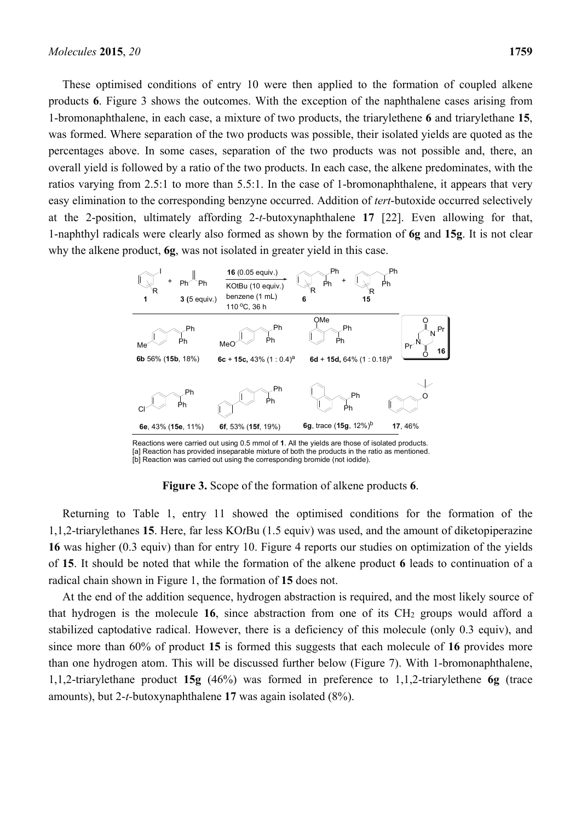These optimised conditions of entry 10 were then applied to the formation of coupled alkene products **6**. Figure 3 shows the outcomes. With the exception of the naphthalene cases arising from 1-bromonaphthalene, in each case, a mixture of two products, the triarylethene **6** and triarylethane **15**, was formed. Where separation of the two products was possible, their isolated yields are quoted as the percentages above. In some cases, separation of the two products was not possible and, there, an overall yield is followed by a ratio of the two products. In each case, the alkene predominates, with the ratios varying from 2.5:1 to more than 5.5:1. In the case of 1-bromonaphthalene, it appears that very easy elimination to the corresponding benzyne occurred. Addition of *tert*-butoxide occurred selectively at the 2-position, ultimately affording 2-*t-*butoxynaphthalene **17** [22]. Even allowing for that, 1-naphthyl radicals were clearly also formed as shown by the formation of **6g** and **15g**. It is not clear why the alkene product, **6g**, was not isolated in greater yield in this case.



Reactions were carried out using 0.5 mmol of **1**. All the yields are those of isolated products. [a] Reaction has provided inseparable mixture of both the products in the ratio as mentioned. [b] Reaction was carried out using the corresponding bromide (not iodide).

**Figure 3.** Scope of the formation of alkene products **6**.

Returning to Table 1, entry 11 showed the optimised conditions for the formation of the 1,1,2-triarylethanes **15**. Here, far less KO*t*Bu (1.5 equiv) was used, and the amount of diketopiperazine **16** was higher (0.3 equiv) than for entry 10. Figure 4 reports our studies on optimization of the yields of **15**. It should be noted that while the formation of the alkene product **6** leads to continuation of a radical chain shown in Figure 1, the formation of **15** does not.

At the end of the addition sequence, hydrogen abstraction is required, and the most likely source of that hydrogen is the molecule **16**, since abstraction from one of its CH2 groups would afford a stabilized captodative radical. However, there is a deficiency of this molecule (only 0.3 equiv), and since more than 60% of product **15** is formed this suggests that each molecule of **16** provides more than one hydrogen atom. This will be discussed further below (Figure 7). With 1-bromonaphthalene, 1,1,2-triarylethane product **15g** (46%) was formed in preference to 1,1,2-triarylethene **6g** (trace amounts), but 2-*t-*butoxynaphthalene **17** was again isolated (8%).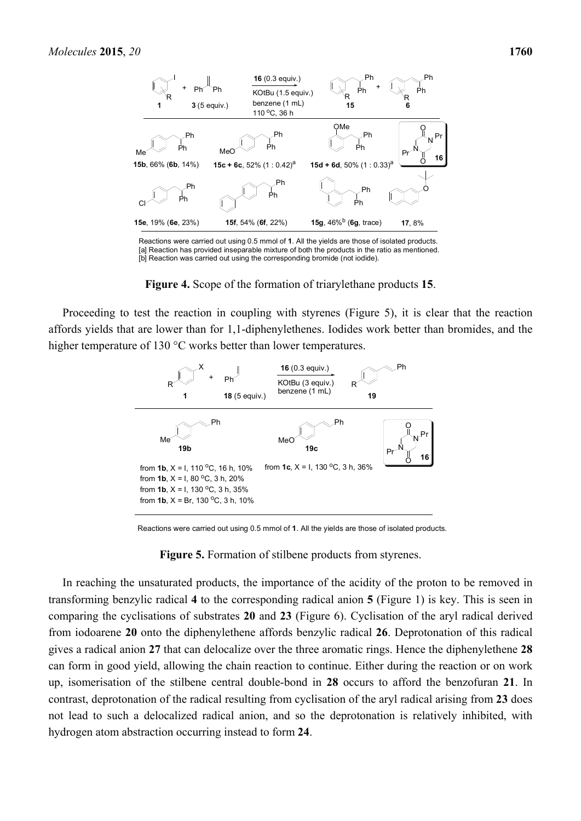

Reactions were carried out using 0.5 mmol of **1**. All the yields are those of isolated products. [a] Reaction has provided inseparable mixture of both the products in the ratio as mentioned. [b] Reaction was carried out using the corresponding bromide (not iodide).

**Figure 4.** Scope of the formation of triarylethane products **15**.

Proceeding to test the reaction in coupling with styrenes (Figure 5), it is clear that the reaction affords yields that are lower than for 1,1-diphenylethenes. Iodides work better than bromides, and the higher temperature of 130 °C works better than lower temperatures.



Reactions were carried out using 0.5 mmol of **1**. All the yields are those of isolated products.

**Figure 5.** Formation of stilbene products from styrenes.

In reaching the unsaturated products, the importance of the acidity of the proton to be removed in transforming benzylic radical **4** to the corresponding radical anion **5** (Figure 1) is key. This is seen in comparing the cyclisations of substrates **20** and **23** (Figure 6). Cyclisation of the aryl radical derived from iodoarene **20** onto the diphenylethene affords benzylic radical **26**. Deprotonation of this radical gives a radical anion **27** that can delocalize over the three aromatic rings. Hence the diphenylethene **28** can form in good yield, allowing the chain reaction to continue. Either during the reaction or on work up, isomerisation of the stilbene central double-bond in **28** occurs to afford the benzofuran **21**. In contrast, deprotonation of the radical resulting from cyclisation of the aryl radical arising from **23** does not lead to such a delocalized radical anion, and so the deprotonation is relatively inhibited, with hydrogen atom abstraction occurring instead to form **24**.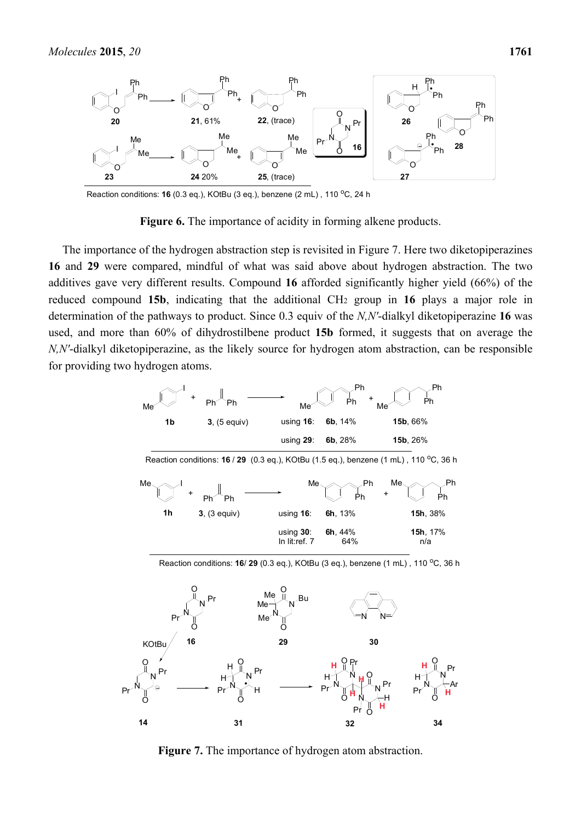

Reaction conditions: **16** (0.3 eq.), KOtBu (3 eq.), benzene (2 mL), 110 <sup>o</sup>C, 24 h

**Figure 6.** The importance of acidity in forming alkene products.

The importance of the hydrogen abstraction step is revisited in Figure 7. Here two diketopiperazines **16** and **29** were compared, mindful of what was said above about hydrogen abstraction. The two additives gave very different results. Compound **16** afforded significantly higher yield (66%) of the reduced compound **15b**, indicating that the additional CH2 group in **16** plays a major role in determination of the pathways to product. Since 0.3 equiv of the *N,N'*-dialkyl diketopiperazine **16** was used, and more than 60% of dihydrostilbene product **15b** formed, it suggests that on average the *N,N'*-dialkyl diketopiperazine, as the likely source for hydrogen atom abstraction, can be responsible for providing two hydrogen atoms.





Reaction conditions: **16**/ **29** (0.3 eq.), KOtBu (3 eq.), benzene (1 mL), 110 <sup>o</sup>C, 36 h

**Figure 7.** The importance of hydrogen atom abstraction.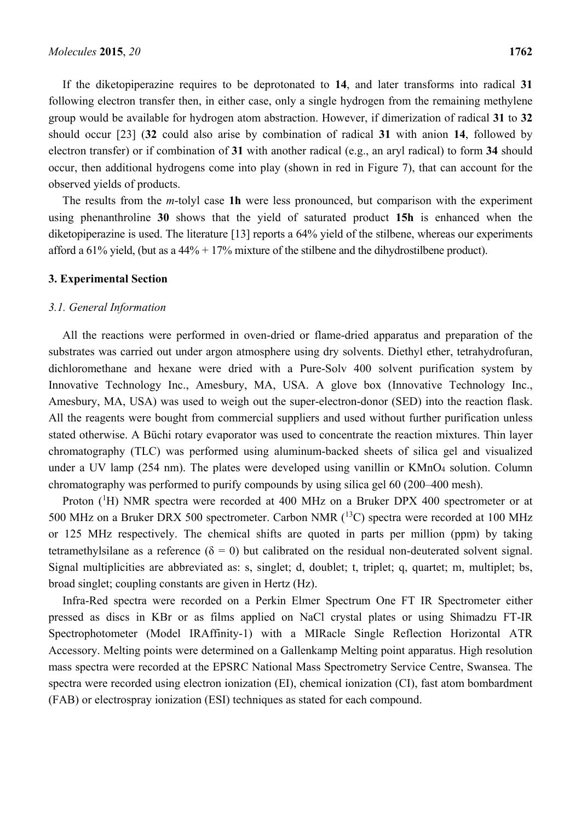If the diketopiperazine requires to be deprotonated to **14**, and later transforms into radical **31** following electron transfer then, in either case, only a single hydrogen from the remaining methylene group would be available for hydrogen atom abstraction. However, if dimerization of radical **31** to **32** should occur [23] (**32** could also arise by combination of radical **31** with anion **14**, followed by electron transfer) or if combination of **31** with another radical (e.g., an aryl radical) to form **34** should occur, then additional hydrogens come into play (shown in red in Figure 7), that can account for the observed yields of products.

The results from the *m*-tolyl case **1h** were less pronounced, but comparison with the experiment using phenanthroline **30** shows that the yield of saturated product **15h** is enhanced when the diketopiperazine is used. The literature [13] reports a 64% yield of the stilbene, whereas our experiments afford a 61% yield, (but as a 44% + 17% mixture of the stilbene and the dihydrostilbene product).

## **3. Experimental Section**

#### *3.1. General Information*

All the reactions were performed in oven-dried or flame-dried apparatus and preparation of the substrates was carried out under argon atmosphere using dry solvents. Diethyl ether, tetrahydrofuran, dichloromethane and hexane were dried with a Pure-Solv 400 solvent purification system by Innovative Technology Inc., Amesbury, MA, USA. A glove box (Innovative Technology Inc., Amesbury, MA, USA) was used to weigh out the super-electron-donor (SED) into the reaction flask. All the reagents were bought from commercial suppliers and used without further purification unless stated otherwise. A Büchi rotary evaporator was used to concentrate the reaction mixtures. Thin layer chromatography (TLC) was performed using aluminum-backed sheets of silica gel and visualized under a UV lamp (254 nm). The plates were developed using vanillin or KMnO<sub>4</sub> solution. Column chromatography was performed to purify compounds by using silica gel 60 (200–400 mesh).

Proton  $({}^{1}H)$  NMR spectra were recorded at 400 MHz on a Bruker DPX 400 spectrometer or at 500 MHz on a Bruker DRX 500 spectrometer. Carbon NMR  $(^{13}C)$  spectra were recorded at 100 MHz or 125 MHz respectively. The chemical shifts are quoted in parts per million (ppm) by taking tetramethylsilane as a reference ( $\delta = 0$ ) but calibrated on the residual non-deuterated solvent signal. Signal multiplicities are abbreviated as: s, singlet; d, doublet; t, triplet; q, quartet; m, multiplet; bs, broad singlet; coupling constants are given in Hertz (Hz).

Infra-Red spectra were recorded on a Perkin Elmer Spectrum One FT IR Spectrometer either pressed as discs in KBr or as films applied on NaCl crystal plates or using Shimadzu FT-IR Spectrophotometer (Model IRAffinity-1) with a MIRacle Single Reflection Horizontal ATR Accessory. Melting points were determined on a Gallenkamp Melting point apparatus. High resolution mass spectra were recorded at the EPSRC National Mass Spectrometry Service Centre, Swansea. The spectra were recorded using electron ionization (EI), chemical ionization (CI), fast atom bombardment (FAB) or electrospray ionization (ESI) techniques as stated for each compound.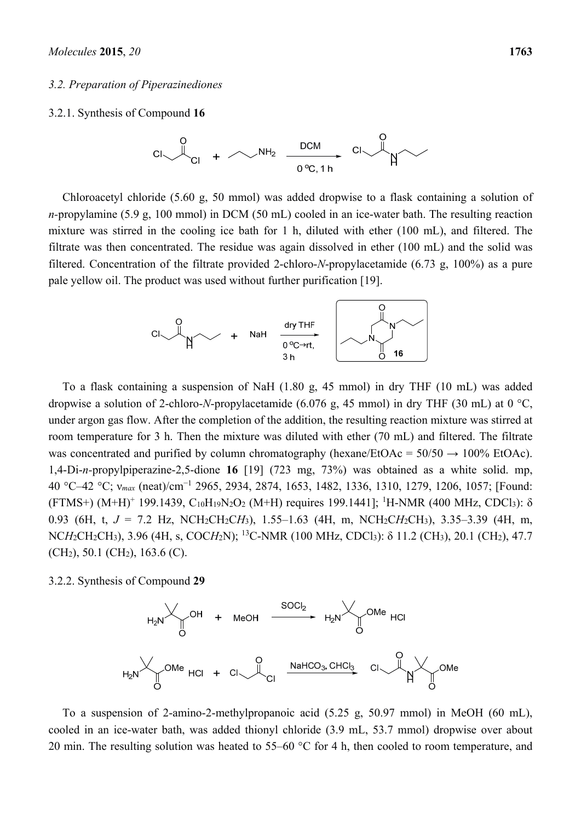#### *3.2. Preparation of Piperazinediones*

#### 3.2.1. Synthesis of Compound **16**



Chloroacetyl chloride (5.60 g, 50 mmol) was added dropwise to a flask containing a solution of *n-*propylamine (5.9 g, 100 mmol) in DCM (50 mL) cooled in an ice-water bath. The resulting reaction mixture was stirred in the cooling ice bath for 1 h, diluted with ether (100 mL), and filtered. The filtrate was then concentrated. The residue was again dissolved in ether (100 mL) and the solid was filtered. Concentration of the filtrate provided 2-chloro-*N*-propylacetamide (6.73 g, 100%) as a pure pale yellow oil. The product was used without further purification [19].



To a flask containing a suspension of NaH (1.80 g, 45 mmol) in dry THF (10 mL) was added dropwise a solution of 2-chloro-*N*-propylacetamide (6.076 g, 45 mmol) in dry THF (30 mL) at 0 °C, under argon gas flow. After the completion of the addition, the resulting reaction mixture was stirred at room temperature for 3 h. Then the mixture was diluted with ether (70 mL) and filtered. The filtrate was concentrated and purified by column chromatography (hexane/EtOAc =  $50/50 \rightarrow 100\%$  EtOAc). 1,4-Di-*n-*propylpiperazine-2,5-dione **16** [19] (723 mg, 73%) was obtained as a white solid. mp, 40 °C–42 °C; ν*max* (neat)/cm<sup>−</sup><sup>1</sup> 2965, 2934, 2874, 1653, 1482, 1336, 1310, 1279, 1206, 1057; [Found: (FTMS+) (M+H)<sup>+</sup> 199.1439, C<sub>10</sub>H<sub>19</sub>N<sub>2</sub>O<sub>2</sub> (M+H) requires 199.1441]; <sup>1</sup>H-NMR (400 MHz, CDCl<sub>3</sub>):  $\delta$ 0.93 (6H, t, *J* = 7.2 Hz, NCH2CH2C*H*3), 1.55–1.63 (4H, m, NCH2C*H*2CH3), 3.35–3.39 (4H, m, NC*H*2CH2CH3), 3.96 (4H, s, COC*H*2N); 13C-NMR (100 MHz, CDCl3): δ 11.2 (CH3), 20.1 (CH2), 47.7 (CH2), 50.1 (CH2), 163.6 (C).

3.2.2. Synthesis of Compound **29**



To a suspension of 2-amino-2-methylpropanoic acid (5.25 g, 50.97 mmol) in MeOH (60 mL), cooled in an ice-water bath, was added thionyl chloride (3.9 mL, 53.7 mmol) dropwise over about 20 min. The resulting solution was heated to 55–60  $\degree$ C for 4 h, then cooled to room temperature, and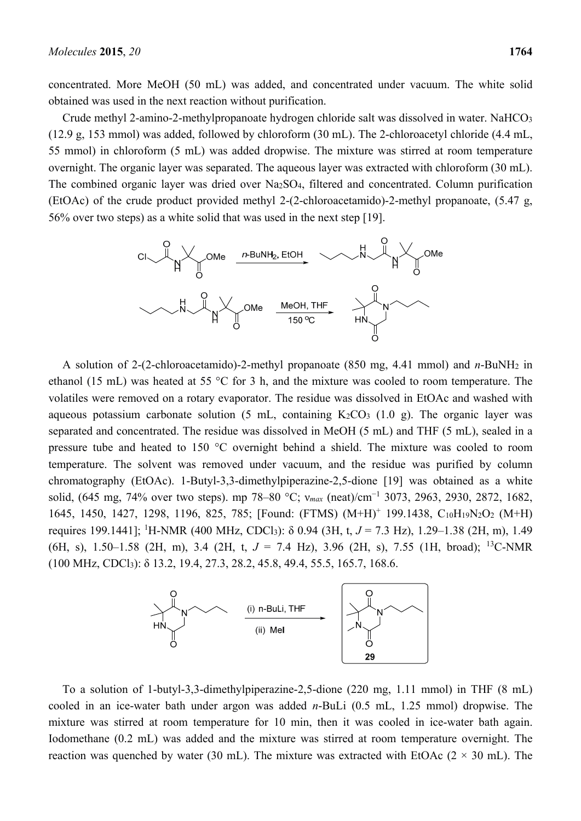concentrated. More MeOH (50 mL) was added, and concentrated under vacuum. The white solid obtained was used in the next reaction without purification.

Crude methyl 2-amino-2-methylpropanoate hydrogen chloride salt was dissolved in water. NaHCO3 (12.9 g, 153 mmol) was added, followed by chloroform (30 mL). The 2-chloroacetyl chloride (4.4 mL, 55 mmol) in chloroform (5 mL) was added dropwise. The mixture was stirred at room temperature overnight. The organic layer was separated. The aqueous layer was extracted with chloroform (30 mL). The combined organic layer was dried over Na2SO4, filtered and concentrated. Column purification (EtOAc) of the crude product provided methyl 2-(2-chloroacetamido)-2-methyl propanoate, (5.47 g, 56% over two steps) as a white solid that was used in the next step [19].



A solution of 2-(2-chloroacetamido)-2-methyl propanoate (850 mg, 4.41 mmol) and *n*-BuNH2 in ethanol (15 mL) was heated at 55 °C for 3 h, and the mixture was cooled to room temperature. The volatiles were removed on a rotary evaporator. The residue was dissolved in EtOAc and washed with aqueous potassium carbonate solution  $(5 \text{ mL})$ , containing K<sub>2</sub>CO<sub>3</sub>  $(1.0 \text{ g})$ . The organic layer was separated and concentrated. The residue was dissolved in MeOH (5 mL) and THF (5 mL), sealed in a pressure tube and heated to 150 °C overnight behind a shield. The mixture was cooled to room temperature. The solvent was removed under vacuum, and the residue was purified by column chromatography (EtOAc). 1-Butyl-3,3-dimethylpiperazine-2,5-dione [19] was obtained as a white solid, (645 mg, 74% over two steps). mp 78–80 °C; v<sub>max</sub> (neat)/cm<sup>-1</sup> 3073, 2963, 2930, 2872, 1682, 1645, 1450, 1427, 1298, 1196, 825, 785; [Found: (FTMS) (M+H)+ 199.1438, C10H19N2O2 (M+H) requires 199.1441]; <sup>1</sup> H-NMR (400 MHz, CDCl3): δ 0.94 (3H, t, *J* = 7.3 Hz), 1.29–1.38 (2H, m), 1.49 (6H, s), 1.50–1.58 (2H, m), 3.4 (2H, t, *J* = 7.4 Hz), 3.96 (2H, s), 7.55 (1H, broad); 13C-NMR (100 MHz, CDCl3): δ 13.2, 19.4, 27.3, 28.2, 45.8, 49.4, 55.5, 165.7, 168.6.



To a solution of 1-butyl-3,3-dimethylpiperazine-2,5-dione (220 mg, 1.11 mmol) in THF (8 mL) cooled in an ice-water bath under argon was added *n*-BuLi (0.5 mL, 1.25 mmol) dropwise. The mixture was stirred at room temperature for 10 min, then it was cooled in ice-water bath again. Iodomethane (0.2 mL) was added and the mixture was stirred at room temperature overnight. The reaction was quenched by water (30 mL). The mixture was extracted with EtOAc ( $2 \times 30$  mL). The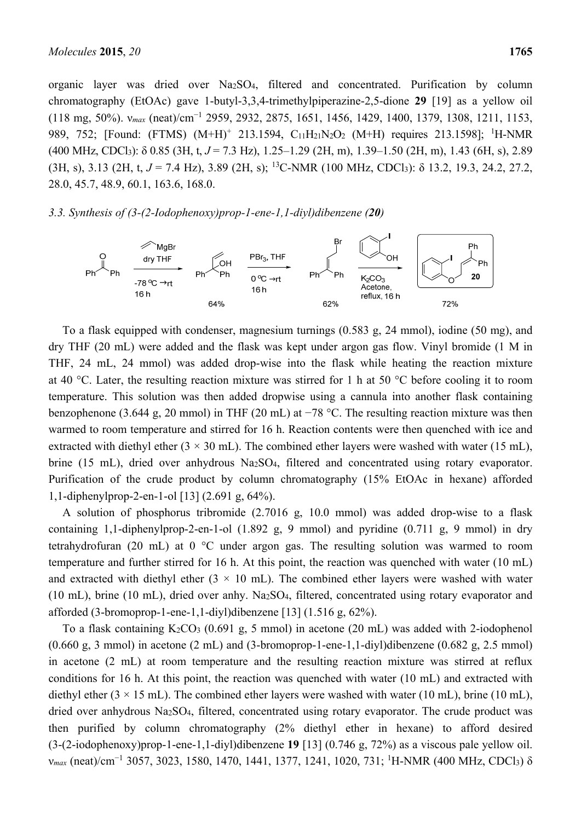organic layer was dried over Na2SO4, filtered and concentrated. Purification by column chromatography (EtOAc) gave 1-butyl-3,3,4-trimethylpiperazine-2,5-dione **29** [19] as a yellow oil (118 mg, 50%). ν*max* (neat)/cm<sup>−</sup><sup>1</sup> 2959, 2932, 2875, 1651, 1456, 1429, 1400, 1379, 1308, 1211, 1153, 989, 752; [Found: (FTMS)  $(M+H)^+$  213.1594, C<sub>11</sub>H<sub>21</sub>N<sub>2</sub>O<sub>2</sub> (M+H) requires 213.1598]; <sup>1</sup>H-NMR (400 MHz, CDCl3): δ 0.85 (3H, t, *J* = 7.3 Hz), 1.25–1.29 (2H, m), 1.39–1.50 (2H, m), 1.43 (6H, s), 2.89 (3H, s), 3.13 (2H, t,  $J = 7.4$  Hz), 3.89 (2H, s); <sup>13</sup>C-NMR (100 MHz, CDCl<sub>3</sub>);  $\delta$  13.2, 19.3, 24.2, 27.2, 28.0, 45.7, 48.9, 60.1, 163.6, 168.0.

#### *3.3. Synthesis of (3-(2-Iodophenoxy)prop-1-ene-1,1-diyl)dibenzene (20)*



To a flask equipped with condenser, magnesium turnings (0.583 g, 24 mmol), iodine (50 mg), and dry THF (20 mL) were added and the flask was kept under argon gas flow. Vinyl bromide (1 M in THF, 24 mL, 24 mmol) was added drop-wise into the flask while heating the reaction mixture at 40 °C. Later, the resulting reaction mixture was stirred for 1 h at 50 °C before cooling it to room temperature. This solution was then added dropwise using a cannula into another flask containing benzophenone (3.644 g, 20 mmol) in THF (20 mL) at −78 °C. The resulting reaction mixture was then warmed to room temperature and stirred for 16 h. Reaction contents were then quenched with ice and extracted with diethyl ether ( $3 \times 30$  mL). The combined ether layers were washed with water (15 mL), brine (15 mL), dried over anhydrous Na2SO4, filtered and concentrated using rotary evaporator. Purification of the crude product by column chromatography (15% EtOAc in hexane) afforded 1,1-diphenylprop-2-en-1-ol [13] (2.691 g, 64%).

A solution of phosphorus tribromide (2.7016 g, 10.0 mmol) was added drop-wise to a flask containing 1,1-diphenylprop-2-en-1-ol (1.892 g, 9 mmol) and pyridine (0.711 g, 9 mmol) in dry tetrahydrofuran (20 mL) at 0 °C under argon gas. The resulting solution was warmed to room temperature and further stirred for 16 h. At this point, the reaction was quenched with water (10 mL) and extracted with diethyl ether  $(3 \times 10 \text{ mL})$ . The combined ether layers were washed with water (10 mL), brine (10 mL), dried over anhy. Na2SO4, filtered, concentrated using rotary evaporator and afforded (3-bromoprop-1-ene-1,1-diyl)dibenzene [13] (1.516 g, 62%).

To a flask containing  $K_2CO_3$  (0.691 g, 5 mmol) in acetone (20 mL) was added with 2-iodophenol  $(0.660 \text{ g}, 3 \text{ mmol})$  in acetone  $(2 \text{ mL})$  and  $(3\text{-bromoprop-1-ene-1}, 1\text{-divl})$ dibenzene  $(0.682 \text{ g}, 2.5 \text{ mmol})$ in acetone (2 mL) at room temperature and the resulting reaction mixture was stirred at reflux conditions for 16 h. At this point, the reaction was quenched with water (10 mL) and extracted with diethyl ether ( $3 \times 15$  mL). The combined ether layers were washed with water (10 mL), brine (10 mL), dried over anhydrous Na2SO4, filtered, concentrated using rotary evaporator. The crude product was then purified by column chromatography (2% diethyl ether in hexane) to afford desired (3-(2-iodophenoxy)prop-1-ene-1,1-diyl)dibenzene **19** [13] (0.746 g, 72%) as a viscous pale yellow oil. *v<sub>max</sub>* (neat)/cm<sup>-1</sup> 3057, 3023, 1580, 1470, 1441, 1377, 1241, 1020, 731; <sup>1</sup>H-NMR (400 MHz, CDCl<sub>3</sub>) δ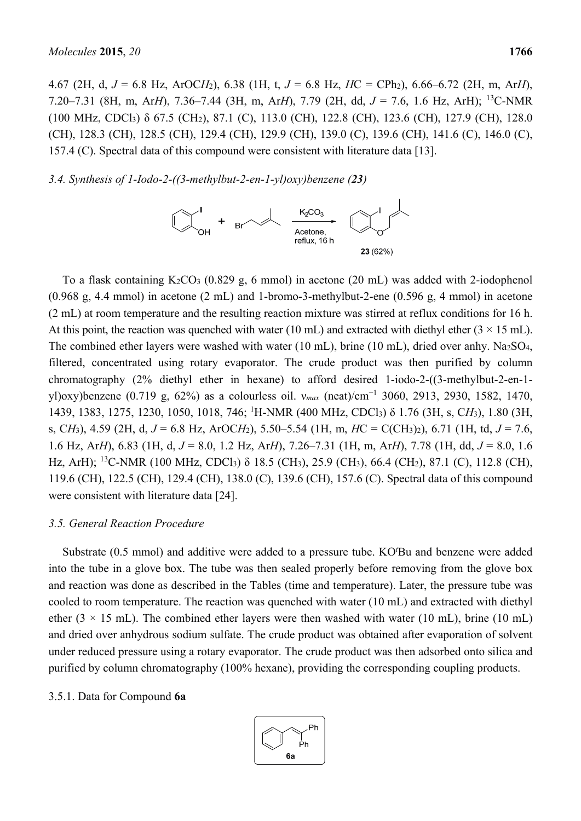4.67 (2H, d, *J* = 6.8 Hz, ArOC*H*2), 6.38 (1H, t, *J* = 6.8 Hz, *H*C = CPh2), 6.66–6.72 (2H, m, Ar*H*), 7.20–7.31 (8H, m, Ar*H*), 7.36–7.44 (3H, m, Ar*H*), 7.79 (2H, dd, *J* = 7.6, 1.6 Hz, ArH); 13C-NMR (100 MHz, CDCl3) δ 67.5 (CH2), 87.1 (C), 113.0 (CH), 122.8 (CH), 123.6 (CH), 127.9 (CH), 128.0 (CH), 128.3 (CH), 128.5 (CH), 129.4 (CH), 129.9 (CH), 139.0 (C), 139.6 (CH), 141.6 (C), 146.0 (C), 157.4 (C). Spectral data of this compound were consistent with literature data [13].

*3.4. Synthesis of 1-Iodo-2-((3-methylbut-2-en-1-yl)oxy)benzene (23)* 



To a flask containing  $K_2CO_3$  (0.829 g, 6 mmol) in acetone (20 mL) was added with 2-iodophenol (0.968 g, 4.4 mmol) in acetone (2 mL) and 1-bromo-3-methylbut-2-ene (0.596 g, 4 mmol) in acetone (2 mL) at room temperature and the resulting reaction mixture was stirred at reflux conditions for 16 h. At this point, the reaction was quenched with water (10 mL) and extracted with diethyl ether ( $3 \times 15$  mL). The combined ether layers were washed with water (10 mL), brine (10 mL), dried over anhy. Na2SO4, filtered, concentrated using rotary evaporator. The crude product was then purified by column chromatography (2% diethyl ether in hexane) to afford desired 1-iodo-2-((3-methylbut-2-en-1 yl)oxy)benzene (0.719 g, 62%) as a colourless oil. v<sub>max</sub> (neat)/cm<sup>-1</sup> 3060, 2913, 2930, 1582, 1470, 1439, 1383, 1275, 1230, 1050, 1018, 746; <sup>1</sup> H-NMR (400 MHz, CDCl3) δ 1.76 (3H, s, C*H*3), 1.80 (3H, s, C*H*3), 4.59 (2H, d, *J* = 6.8 Hz, ArOC*H*2), 5.50–5.54 (1H, m, *H*C = C(CH3)2), 6.71 (1H, td, *J* = 7.6, 1.6 Hz, Ar*H*), 6.83 (1H, d, *J* = 8.0, 1.2 Hz, Ar*H*), 7.26–7.31 (1H, m, Ar*H*), 7.78 (1H, dd, *J* = 8.0, 1.6 Hz, ArH); <sup>13</sup>C-NMR (100 MHz, CDCl<sub>3</sub>) δ 18.5 (CH<sub>3</sub>), 25.9 (CH<sub>3</sub>), 66.4 (CH<sub>2</sub>), 87.1 (C), 112.8 (CH), 119.6 (CH), 122.5 (CH), 129.4 (CH), 138.0 (C), 139.6 (CH), 157.6 (C). Spectral data of this compound were consistent with literature data [24].

#### *3.5. General Reaction Procedure*

Substrate (0.5 mmol) and additive were added to a pressure tube. KO*<sup>t</sup>* Bu and benzene were added into the tube in a glove box. The tube was then sealed properly before removing from the glove box and reaction was done as described in the Tables (time and temperature). Later, the pressure tube was cooled to room temperature. The reaction was quenched with water (10 mL) and extracted with diethyl ether ( $3 \times 15$  mL). The combined ether layers were then washed with water (10 mL), brine (10 mL) and dried over anhydrous sodium sulfate. The crude product was obtained after evaporation of solvent under reduced pressure using a rotary evaporator. The crude product was then adsorbed onto silica and purified by column chromatography (100% hexane), providing the corresponding coupling products.

#### 3.5.1. Data for Compound **6a**

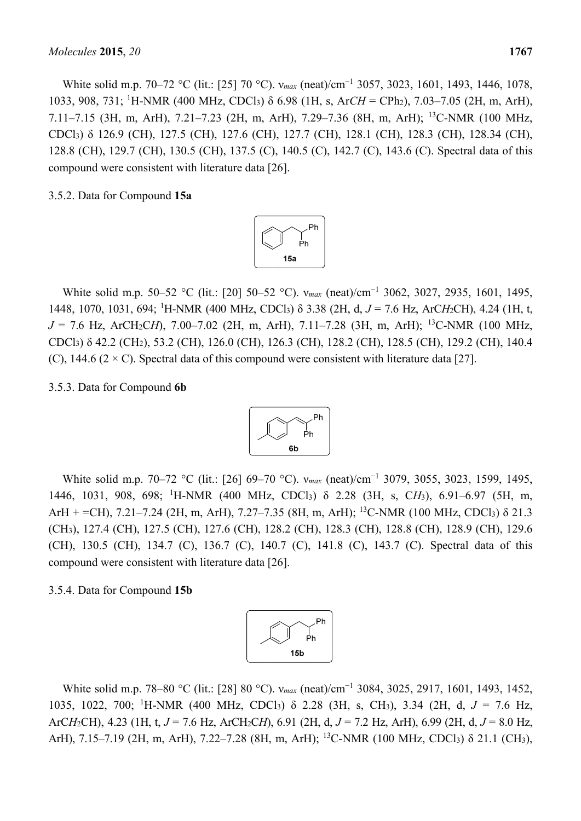White solid m.p. 70–72 °C (lit.: [25] 70 °C).  $v_{max}$  (neat)/cm<sup>-1</sup> 3057, 3023, 1601, 1493, 1446, 1078, 1033, 908, 731; <sup>1</sup>H-NMR (400 MHz, CDCl<sub>3</sub>) δ 6.98 (1H, s, ArCH = CPh<sub>2</sub>), 7.03–7.05 (2H, m, ArH), 7.11–7.15 (3H, m, ArH), 7.21–7.23 (2H, m, ArH), 7.29–7.36 (8H, m, ArH); 13C-NMR (100 MHz, CDCl3) δ 126.9 (CH), 127.5 (CH), 127.6 (CH), 127.7 (CH), 128.1 (CH), 128.3 (CH), 128.34 (CH), 128.8 (CH), 129.7 (CH), 130.5 (CH), 137.5 (C), 140.5 (C), 142.7 (C), 143.6 (C). Spectral data of this compound were consistent with literature data [26].

3.5.2. Data for Compound **15a**



White solid m.p. 50–52 °C (lit.: [20] 50–52 °C).  $v_{max}$  (neat)/cm<sup>-1</sup> 3062, 3027, 2935, 1601, 1495, 1448, 1070, 1031, 694; <sup>1</sup> H-NMR (400 MHz, CDCl3) δ 3.38 (2H, d, *J* = 7.6 Hz, ArC*H*2CH), 4.24 (1H, t,  $J = 7.6$  Hz, ArCH<sub>2</sub>CH),  $7.00-7.02$  (2H, m, ArH),  $7.11-7.28$  (3H, m, ArH); <sup>13</sup>C-NMR (100 MHz, CDCl3) δ 42.2 (CH2), 53.2 (CH), 126.0 (CH), 126.3 (CH), 128.2 (CH), 128.5 (CH), 129.2 (CH), 140.4 (C), 144.6 ( $2 \times C$ ). Spectral data of this compound were consistent with literature data [27].

#### 3.5.3. Data for Compound **6b**



White solid m.p. 70–72 °C (lit.: [26] 69–70 °C). *v*<sub>max</sub> (neat)/cm<sup>-1</sup> 3079, 3055, 3023, 1599, 1495, 1446, 1031, 908, 698; <sup>1</sup> H-NMR (400 MHz, CDCl3) δ 2.28 (3H, s, C*H*3), 6.91–6.97 (5H, m, ArH + =CH), 7.21–7.24 (2H, m, ArH), 7.27–7.35 (8H, m, ArH); <sup>13</sup>C-NMR (100 MHz, CDCl<sub>3</sub>)  $\delta$  21.3 (CH3), 127.4 (CH), 127.5 (CH), 127.6 (CH), 128.2 (CH), 128.3 (CH), 128.8 (CH), 128.9 (CH), 129.6 (CH), 130.5 (CH), 134.7 (C), 136.7 (C), 140.7 (C), 141.8 (C), 143.7 (C). Spectral data of this compound were consistent with literature data [26].

## 3.5.4. Data for Compound **15b**



White solid m.p. 78–80 °C (lit.: [28] 80 °C). *v*<sub>max</sub> (neat)/cm<sup>-1</sup> 3084, 3025, 2917, 1601, 1493, 1452, 1035, 1022, 700; <sup>1</sup> H-NMR (400 MHz, CDCl3) δ 2.28 (3H, s, CH3), 3.34 (2H, d, *J* = 7.6 Hz, ArC*H*2CH), 4.23 (1H, t, *J* = 7.6 Hz, ArCH2C*H*), 6.91 (2H, d, *J* = 7.2 Hz, ArH), 6.99 (2H, d, *J* = 8.0 Hz, ArH), 7.15–7.19 (2H, m, ArH), 7.22–7.28 (8H, m, ArH); 13C-NMR (100 MHz, CDCl3) δ 21.1 (CH3),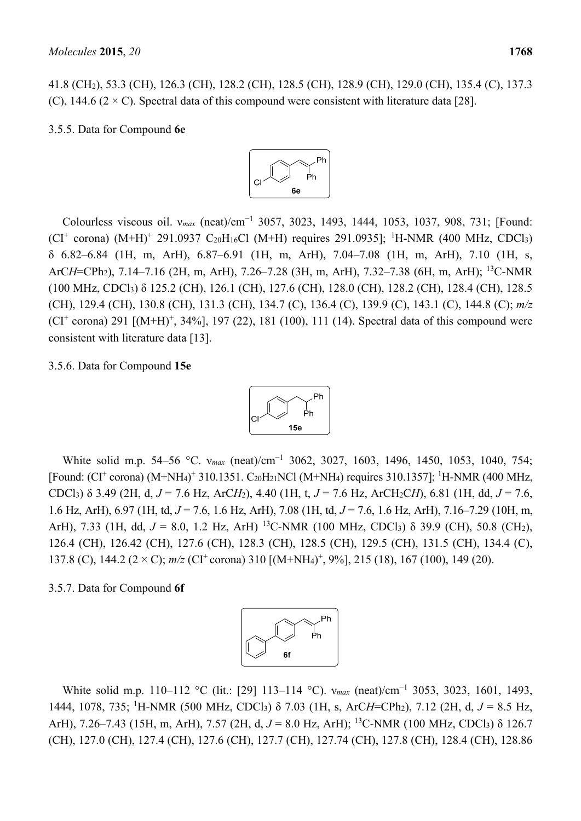3.5.5. Data for Compound **6e**



(C), 144.6 ( $2 \times C$ ). Spectral data of this compound were consistent with literature data [28].

Colourless viscous oil. v<sub>max</sub> (neat)/cm<sup>-1</sup> 3057, 3023, 1493, 1444, 1053, 1037, 908, 731; [Found:  $(CI<sup>+</sup> corona)$   $(M+H)<sup>+</sup> 291.0937 C<sub>20</sub>H<sub>16</sub>C1$   $(M+H)$  requires 291.0935]; <sup>1</sup>H-NMR (400 MHz, CDCl<sub>3</sub>) δ 6.82–6.84 (1H, m, ArH), 6.87–6.91 (1H, m, ArH), 7.04–7.08 (1H, m, ArH), 7.10 (1H, s, ArC*H*=CPh2), 7.14–7.16 (2H, m, ArH), 7.26–7.28 (3H, m, ArH), 7.32–7.38 (6H, m, ArH); 13C-NMR (100 MHz, CDCl3) δ 125.2 (CH), 126.1 (CH), 127.6 (CH), 128.0 (CH), 128.2 (CH), 128.4 (CH), 128.5 (CH), 129.4 (CH), 130.8 (CH), 131.3 (CH), 134.7 (C), 136.4 (C), 139.9 (C), 143.1 (C), 144.8 (C); *m/z*   $(CI<sup>+</sup> corona)$  291  $[(M+H)<sup>+</sup>, 34%]$ , 197 (22), 181 (100), 111 (14). Spectral data of this compound were consistent with literature data [13].

#### 3.5.6. Data for Compound **15e**



White solid m.p. 54–56 °C. v<sub>max</sub> (neat)/cm<sup>-1</sup> 3062, 3027, 1603, 1496, 1450, 1053, 1040, 754; [Found: (CI<sup>+</sup> corona) (M+NH<sub>4</sub>)<sup>+</sup> 310.1351. C<sub>20</sub>H<sub>21</sub>NCl (M+NH<sub>4</sub>) requires 310.1357]; <sup>1</sup>H-NMR (400 MHz, CDCl3) δ 3.49 (2H, d, *J* = 7.6 Hz, ArC*H*2), 4.40 (1H, t, *J* = 7.6 Hz, ArCH2C*H*), 6.81 (1H, dd, *J* = 7.6, 1.6 Hz, ArH), 6.97 (1H, td, *J* = 7.6, 1.6 Hz, ArH), 7.08 (1H, td, *J* = 7.6, 1.6 Hz, ArH), 7.16–7.29 (10H, m, ArH), 7.33 (1H, dd, *J* = 8.0, 1.2 Hz, ArH) <sup>13</sup>C-NMR (100 MHz, CDCl<sub>3</sub>) δ 39.9 (CH), 50.8 (CH<sub>2</sub>), 126.4 (CH), 126.42 (CH), 127.6 (CH), 128.3 (CH), 128.5 (CH), 129.5 (CH), 131.5 (CH), 134.4 (C), 137.8 (C), 144.2 ( $2 \times C$ ); *m/z* (CI<sup>+</sup> corona) 310 [(M+NH<sub>4</sub>)<sup>+</sup>, 9%], 215 (18), 167 (100), 149 (20).

## 3.5.7. Data for Compound **6f**



White solid m.p. 110–112 °C (lit.: [29] 113–114 °C). *v<sub>max</sub>* (neat)/cm<sup>-1</sup> 3053, 3023, 1601, 1493, 1444, 1078, 735; <sup>1</sup> H-NMR (500 MHz, CDCl3) δ 7.03 (1H, s, ArC*H*=CPh2), 7.12 (2H, d, *J* = 8.5 Hz, ArH), 7.26–7.43 (15H, m, ArH), 7.57 (2H, d, *J* = 8.0 Hz, ArH); 13C-NMR (100 MHz, CDCl3) δ 126.7 (CH), 127.0 (CH), 127.4 (CH), 127.6 (CH), 127.7 (CH), 127.74 (CH), 127.8 (CH), 128.4 (CH), 128.86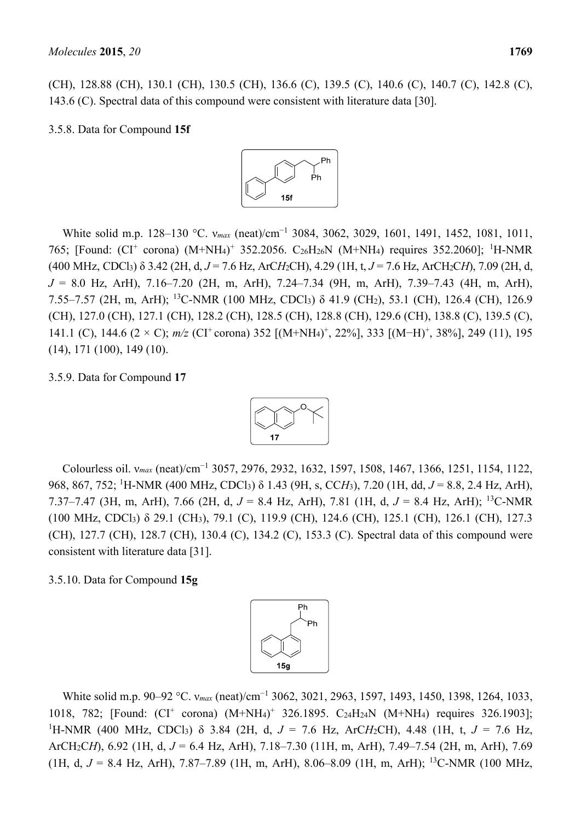(CH), 128.88 (CH), 130.1 (CH), 130.5 (CH), 136.6 (C), 139.5 (C), 140.6 (C), 140.7 (C), 142.8 (C), 143.6 (C). Spectral data of this compound were consistent with literature data [30].

3.5.8. Data for Compound **15f**



White solid m.p. 128–130 °C. v<sub>max</sub> (neat)/cm<sup>-1</sup> 3084, 3062, 3029, 1601, 1491, 1452, 1081, 1011, 765; [Found: (CI<sup>+</sup> corona) (M+NH<sub>4</sub>)<sup>+</sup> 352.2056. C<sub>26</sub>H<sub>26</sub>N (M+NH<sub>4</sub>) requires 352.2060]; <sup>1</sup>H-NMR (400 MHz, CDCl3) δ 3.42 (2H, d, *J* = 7.6 Hz, ArC*H*2CH), 4.29 (1H, t, *J* = 7.6 Hz, ArCH2C*H*), 7.09 (2H, d, *J* = 8.0 Hz, ArH), 7.16–7.20 (2H, m, ArH), 7.24–7.34 (9H, m, ArH), 7.39–7.43 (4H, m, ArH), 7.55–7.57 (2H, m, ArH); 13C-NMR (100 MHz, CDCl3) δ 41.9 (CH2), 53.1 (CH), 126.4 (CH), 126.9 (CH), 127.0 (CH), 127.1 (CH), 128.2 (CH), 128.5 (CH), 128.8 (CH), 129.6 (CH), 138.8 (C), 139.5 (C), 141.1 (C), 144.6 (2 × C); *m/z* (CI<sup>+</sup> corona) 352 [(M+NH<sub>4</sub>)<sup>+</sup>, 22%], 333 [(M−H)<sup>+</sup>, 38%], 249 (11), 195 (14), 171 (100), 149 (10).

3.5.9. Data for Compound **17**



Colourless oil. v<sub>max</sub> (neat)/cm<sup>-1</sup> 3057, 2976, 2932, 1632, 1597, 1508, 1467, 1366, 1251, 1154, 1122, 968, 867, 752; <sup>1</sup> H-NMR (400 MHz, CDCl3) δ 1.43 (9H, s, CC*H*3), 7.20 (1H, dd, *J* = 8.8, 2.4 Hz, ArH), 7.37–7.47 (3H, m, ArH), 7.66 (2H, d, *J* = 8.4 Hz, ArH), 7.81 (1H, d, *J* = 8.4 Hz, ArH); 13C-NMR (100 MHz, CDCl3) δ 29.1 (CH3), 79.1 (C), 119.9 (CH), 124.6 (CH), 125.1 (CH), 126.1 (CH), 127.3 (CH), 127.7 (CH), 128.7 (CH), 130.4 (C), 134.2 (C), 153.3 (C). Spectral data of this compound were consistent with literature data [31].

3.5.10. Data for Compound **15g**



White solid m.p. 90–92 °C. v<sub>max</sub> (neat)/cm<sup>-1</sup> 3062, 3021, 2963, 1597, 1493, 1450, 1398, 1264, 1033, 1018, 782; [Found: (CI<sup>+</sup> corona) (M+NH<sub>4</sub>)<sup>+</sup> 326.1895. C<sub>24</sub>H<sub>24</sub>N (M+NH<sub>4</sub>) requires 326.1903]; 1 H-NMR (400 MHz, CDCl3) δ 3.84 (2H, d, *J* = 7.6 Hz, ArC*H*2CH), 4.48 (1H, t, *J* = 7.6 Hz, ArCH2C*H*), 6.92 (1H, d, *J* = 6.4 Hz, ArH), 7.18–7.30 (11H, m, ArH), 7.49–7.54 (2H, m, ArH), 7.69 (1H, d,  $J = 8.4$  Hz, ArH), 7.87–7.89 (1H, m, ArH), 8.06–8.09 (1H, m, ArH); <sup>13</sup>C-NMR (100 MHz,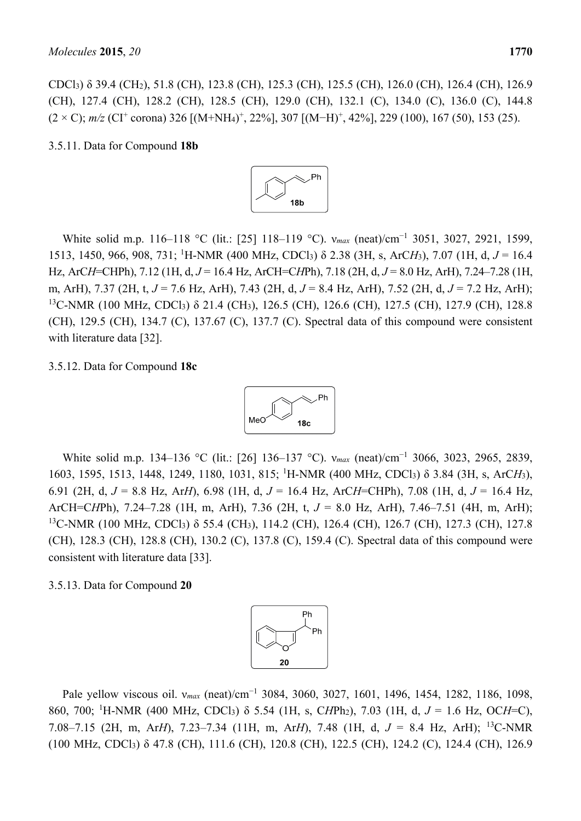CDCl3) δ 39.4 (CH2), 51.8 (CH), 123.8 (CH), 125.3 (CH), 125.5 (CH), 126.0 (CH), 126.4 (CH), 126.9 (CH), 127.4 (CH), 128.2 (CH), 128.5 (CH), 129.0 (CH), 132.1 (C), 134.0 (C), 136.0 (C), 144.8  $(2 \times C)$ ; *m/z* (CI<sup>+</sup> corona) 326 [(M+NH<sub>4</sub>)<sup>+</sup>, 22%], 307 [(M-H)<sup>+</sup>, 42%], 229 (100), 167 (50), 153 (25).

3.5.11. Data for Compound **18b**



White solid m.p. 116–118 °C (lit.: [25] 118–119 °C). *v<sub>max</sub>* (neat)/cm<sup>-1</sup> 3051, 3027, 2921, 1599, 1513, 1450, 966, 908, 731; <sup>1</sup> H-NMR (400 MHz, CDCl3) δ 2.38 (3H, s, ArC*H*3), 7.07 (1H, d, *J* = 16.4 Hz, ArC*H*=CHPh), 7.12 (1H, d, *J* = 16.4 Hz, ArCH=C*H*Ph), 7.18 (2H, d, *J* = 8.0 Hz, ArH), 7.24–7.28 (1H, m, ArH), 7.37 (2H, t, *J* = 7.6 Hz, ArH), 7.43 (2H, d, *J* = 8.4 Hz, ArH), 7.52 (2H, d, *J* = 7.2 Hz, ArH); 13C-NMR (100 MHz, CDCl3) δ 21.4 (CH3), 126.5 (CH), 126.6 (CH), 127.5 (CH), 127.9 (CH), 128.8 (CH), 129.5 (CH), 134.7 (C), 137.67 (C), 137.7 (C). Spectral data of this compound were consistent with literature data [32].

## 3.5.12. Data for Compound **18c**



White solid m.p. 134–136 °C (lit.: [26] 136–137 °C). *v<sub>max</sub>* (neat)/cm<sup>-1</sup> 3066, 3023, 2965, 2839, 1603, 1595, 1513, 1448, 1249, 1180, 1031, 815; <sup>1</sup> H-NMR (400 MHz, CDCl3) δ 3.84 (3H, s, ArC*H*3), 6.91 (2H, d, *J* = 8.8 Hz, Ar*H*), 6.98 (1H, d, *J* = 16.4 Hz, ArC*H*=CHPh), 7.08 (1H, d, *J* = 16.4 Hz, ArCH=C*H*Ph), 7.24–7.28 (1H, m, ArH), 7.36 (2H, t, *J* = 8.0 Hz, ArH), 7.46–7.51 (4H, m, ArH); <sup>13</sup>C-NMR (100 MHz, CDCl<sub>3</sub>) δ 55.4 (CH<sub>3</sub>), 114.2 (CH), 126.4 (CH), 126.7 (CH), 127.3 (CH), 127.8 (CH), 128.3 (CH), 128.8 (CH), 130.2 (C), 137.8 (C), 159.4 (C). Spectral data of this compound were consistent with literature data [33].

#### 3.5.13. Data for Compound **20**



Pale yellow viscous oil. v<sub>max</sub> (neat)/cm<sup>-1</sup> 3084, 3060, 3027, 1601, 1496, 1454, 1282, 1186, 1098, 860, 700; <sup>1</sup> H-NMR (400 MHz, CDCl3) δ 5.54 (1H, s, C*H*Ph2), 7.03 (1H, d, *J* = 1.6 Hz, OC*H*=C), 7.08–7.15 (2H, m, Ar*H*), 7.23–7.34 (11H, m, Ar*H*), 7.48 (1H, d, *J* = 8.4 Hz, ArH); 13C-NMR (100 MHz, CDCl3) δ 47.8 (CH), 111.6 (CH), 120.8 (CH), 122.5 (CH), 124.2 (C), 124.4 (CH), 126.9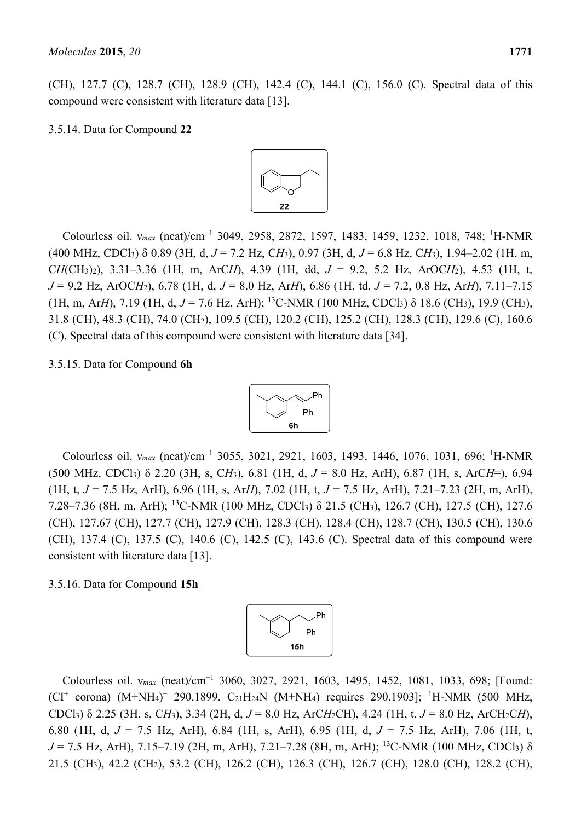(CH), 127.7 (C), 128.7 (CH), 128.9 (CH), 142.4 (C), 144.1 (C), 156.0 (C). Spectral data of this compound were consistent with literature data [13].

3.5.14. Data for Compound **22**



Colourless oil. v<sub>max</sub> (neat)/cm<sup>-1</sup> 3049, 2958, 2872, 1597, 1483, 1459, 1232, 1018, 748; <sup>1</sup>H-NMR (400 MHz, CDCl3) δ 0.89 (3H, d, *J* = 7.2 Hz, C*H*3), 0.97 (3H, d, *J* = 6.8 Hz, C*H*3), 1.94–2.02 (1H, m, C*H*(CH3)2), 3.31–3.36 (1H, m, ArC*H*), 4.39 (1H, dd, *J* = 9.2, 5.2 Hz, ArOC*H*2), 4.53 (1H, t, *J* = 9.2 Hz, ArOC*H*2), 6.78 (1H, d, *J* = 8.0 Hz, Ar*H*), 6.86 (1H, td, *J* = 7.2, 0.8 Hz, Ar*H*), 7.11–7.15 (1H, m, Ar*H*), 7.19 (1H, d,  $J = 7.6$  Hz, ArH); <sup>13</sup>C-NMR (100 MHz, CDCl<sub>3</sub>)  $\delta$  18.6 (CH<sub>3</sub>), 19.9 (CH<sub>3</sub>), 31.8 (CH), 48.3 (CH), 74.0 (CH2), 109.5 (CH), 120.2 (CH), 125.2 (CH), 128.3 (CH), 129.6 (C), 160.6 (C). Spectral data of this compound were consistent with literature data [34].

3.5.15. Data for Compound **6h**



Colourless oil. v<sub>max</sub> (neat)/cm<sup>-1</sup> 3055, 3021, 2921, 1603, 1493, 1446, 1076, 1031, 696; <sup>1</sup>H-NMR (500 MHz, CDCl3) δ 2.20 (3H, s, C*H*3), 6.81 (1H, d, *J* = 8.0 Hz, ArH), 6.87 (1H, s, ArC*H*=), 6.94 (1H, t, *J* = 7.5 Hz, ArH), 6.96 (1H, s, Ar*H*), 7.02 (1H, t, *J* = 7.5 Hz, ArH), 7.21–7.23 (2H, m, ArH), 7.28–7.36 (8H, m, ArH); 13C-NMR (100 MHz, CDCl3) δ 21.5 (CH3), 126.7 (CH), 127.5 (CH), 127.6 (CH), 127.67 (CH), 127.7 (CH), 127.9 (CH), 128.3 (CH), 128.4 (CH), 128.7 (CH), 130.5 (CH), 130.6 (CH), 137.4 (C), 137.5 (C), 140.6 (C), 142.5 (C), 143.6 (C). Spectral data of this compound were consistent with literature data [13].

## 3.5.16. Data for Compound **15h**



Colourless oil. v<sub>max</sub> (neat)/cm<sup>-1</sup> 3060, 3027, 2921, 1603, 1495, 1452, 1081, 1033, 698; [Found:  $(CI^+$  corona)  $(M+NH_4)^+$  290.1899.  $C_{21}H_{24}N$   $(M+NH_4)$  requires 290.1903]; <sup>1</sup>H-NMR (500 MHz, CDCl3) δ 2.25 (3H, s, C*H*3), 3.34 (2H, d, *J* = 8.0 Hz, ArC*H*2CH), 4.24 (1H, t, *J* = 8.0 Hz, ArCH2C*H*), 6.80 (1H, d, *J* = 7.5 Hz, ArH), 6.84 (1H, s, ArH), 6.95 (1H, d, *J* = 7.5 Hz, ArH), 7.06 (1H, t,  $J = 7.5$  Hz, ArH), 7.15–7.19 (2H, m, ArH), 7.21–7.28 (8H, m, ArH); <sup>13</sup>C-NMR (100 MHz, CDCl<sub>3</sub>)  $\delta$ 21.5 (CH3), 42.2 (CH2), 53.2 (CH), 126.2 (CH), 126.3 (CH), 126.7 (CH), 128.0 (CH), 128.2 (CH),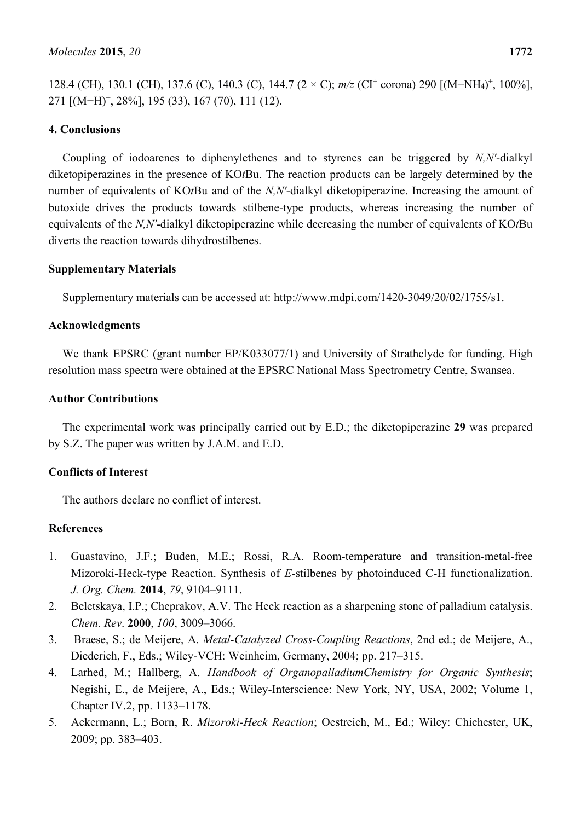128.4 (CH), 130.1 (CH), 137.6 (C), 140.3 (C), 144.7 (2 × C);  $m/z$  (CI<sup>+</sup> corona) 290 [(M+NH<sub>4</sub>)<sup>+</sup>, 100%], 271 [(M−H)+, 28%], 195 (33), 167 (70), 111 (12).

# **4. Conclusions**

Coupling of iodoarenes to diphenylethenes and to styrenes can be triggered by *N,N'*-dialkyl diketopiperazines in the presence of KO*t*Bu. The reaction products can be largely determined by the number of equivalents of KO*t*Bu and of the *N,N'*-dialkyl diketopiperazine. Increasing the amount of butoxide drives the products towards stilbene-type products, whereas increasing the number of equivalents of the *N,N'*-dialkyl diketopiperazine while decreasing the number of equivalents of KO*t*Bu diverts the reaction towards dihydrostilbenes.

# **Supplementary Materials**

Supplementary materials can be accessed at: http://www.mdpi.com/1420-3049/20/02/1755/s1.

## **Acknowledgments**

We thank EPSRC (grant number EP/K033077/1) and University of Strathclyde for funding. High resolution mass spectra were obtained at the EPSRC National Mass Spectrometry Centre, Swansea.

## **Author Contributions**

The experimental work was principally carried out by E.D.; the diketopiperazine **29** was prepared by S.Z. The paper was written by J.A.M. and E.D.

# **Conflicts of Interest**

The authors declare no conflict of interest.

# **References**

- 1. Guastavino, J.F.; Buden, M.E.; Rossi, R.A. Room-temperature and transition-metal-free Mizoroki-Heck-type Reaction. Synthesis of *E*-stilbenes by photoinduced C-H functionalization. *J. Org. Chem.* **2014**, *79*, 9104–9111.
- 2. Beletskaya, I.P.; Cheprakov, A.V. The Heck reaction as a sharpening stone of palladium catalysis. *Chem. Rev*. **2000**, *100*, 3009–3066.
- 3. Braese, S.; de Meijere, A. *Metal-Catalyzed Cross-Coupling Reactions*, 2nd ed.; de Meijere, A., Diederich, F., Eds.; Wiley-VCH: Weinheim, Germany, 2004; pp. 217–315.
- 4. Larhed, M.; Hallberg, A. *Handbook of OrganopalladiumChemistry for Organic Synthesis*; Negishi, E., de Meijere, A., Eds.; Wiley-Interscience: New York, NY, USA, 2002; Volume 1, Chapter IV.2, pp. 1133–1178.
- 5. Ackermann, L.; Born, R. *Mizoroki-Heck Reaction*; Oestreich, M., Ed.; Wiley: Chichester, UK, 2009; pp. 383–403.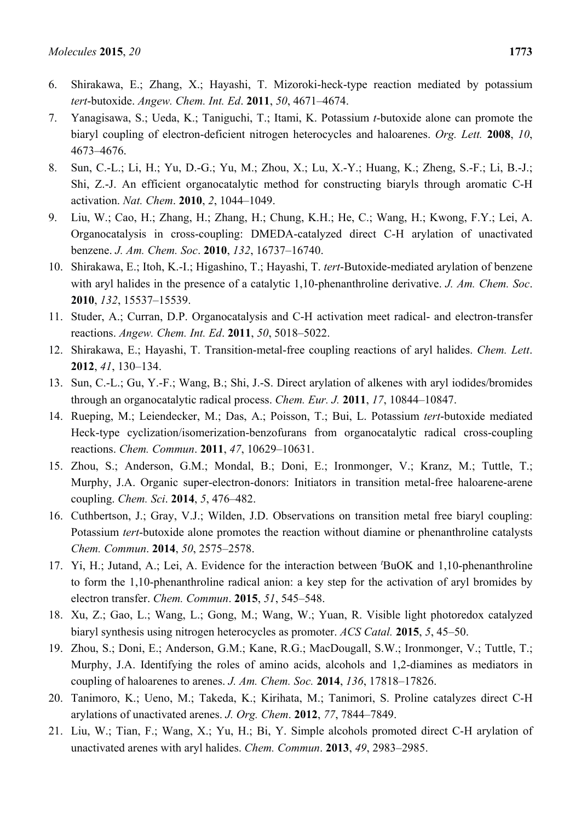- 6. Shirakawa, E.; Zhang, X.; Hayashi, T. Mizoroki-heck-type reaction mediated by potassium *tert*-butoxide. *Angew. Chem. Int. Ed*. **2011**, *50*, 4671–4674.
- 7. Yanagisawa, S.; Ueda, K.; Taniguchi, T.; Itami, K. Potassium *t*-butoxide alone can promote the biaryl coupling of electron-deficient nitrogen heterocycles and haloarenes. *Org. Lett.* **2008**, *10*, 4673–4676.
- 8. Sun, C.-L.; Li, H.; Yu, D.-G.; Yu, M.; Zhou, X.; Lu, X.-Y.; Huang, K.; Zheng, S.-F.; Li, B.-J.; Shi, Z.-J. An efficient organocatalytic method for constructing biaryls through aromatic C-H activation. *Nat. Chem*. **2010**, *2*, 1044–1049.
- 9. Liu, W.; Cao, H.; Zhang, H.; Zhang, H.; Chung, K.H.; He, C.; Wang, H.; Kwong, F.Y.; Lei, A. Organocatalysis in cross-coupling: DMEDA-catalyzed direct C-H arylation of unactivated benzene. *J. Am. Chem. Soc*. **2010**, *132*, 16737–16740.
- 10. Shirakawa, E.; Itoh, K.-I.; Higashino, T.; Hayashi, T. *tert*-Butoxide-mediated arylation of benzene with aryl halides in the presence of a catalytic 1,10-phenanthroline derivative. *J. Am. Chem. Soc*. **2010**, *132*, 15537–15539.
- 11. Studer, A.; Curran, D.P. Organocatalysis and C-H activation meet radical- and electron-transfer reactions. *Angew. Chem. Int. Ed*. **2011**, *50*, 5018–5022.
- 12. Shirakawa, E.; Hayashi, T. Transition-metal-free coupling reactions of aryl halides. *Chem. Lett*. **2012**, *41*, 130–134.
- 13. Sun, C.-L.; Gu, Y.-F.; Wang, B.; Shi, J.-S. Direct arylation of alkenes with aryl iodides/bromides through an organocatalytic radical process. *Chem. Eur. J.* **2011**, *17*, 10844*–*10847.
- 14. Rueping, M.; Leiendecker, M.; Das, A.; Poisson, T.; Bui, L. Potassium *tert*-butoxide mediated Heck-type cyclization/isomerization-benzofurans from organocatalytic radical cross-coupling reactions. *Chem. Commun*. **2011**, *47*, 10629*–*10631.
- 15. Zhou, S.; Anderson, G.M.; Mondal, B.; Doni, E.; Ironmonger, V.; Kranz, M.; Tuttle, T.; Murphy, J.A. Organic super-electron-donors: Initiators in transition metal-free haloarene-arene coupling. *Chem. Sci*. **2014**, *5*, 476–482.
- 16. Cuthbertson, J.; Gray, V.J.; Wilden, J.D. Observations on transition metal free biaryl coupling: Potassium *tert*-butoxide alone promotes the reaction without diamine or phenanthroline catalysts *Chem. Commun*. **2014**, *50*, 2575–2578.
- 17. Yi, H.; Jutand, A.; Lei, A. Evidence for the interaction between *<sup>t</sup>* BuOK and 1,10-phenanthroline to form the 1,10-phenanthroline radical anion: a key step for the activation of aryl bromides by electron transfer. *Chem. Commun*. **2015**, *51*, 545–548.
- 18. Xu, Z.; Gao, L.; Wang, L.; Gong, M.; Wang, W.; Yuan, R. Visible light photoredox catalyzed biaryl synthesis using nitrogen heterocycles as promoter. *ACS Catal.* **2015**, *5*, 45–50.
- 19. Zhou, S.; Doni, E.; Anderson, G.M.; Kane, R.G.; MacDougall, S.W.; Ironmonger, V.; Tuttle, T.; Murphy, J.A. Identifying the roles of amino acids, alcohols and 1,2-diamines as mediators in coupling of haloarenes to arenes. *J. Am. Chem. Soc.* **2014**, *136*, 17818–17826.
- 20. Tanimoro, K.; Ueno, M.; Takeda, K.; Kirihata, M.; Tanimori, S. Proline catalyzes direct C-H arylations of unactivated arenes. *J. Org. Chem*. **2012**, *77*, 7844–7849.
- 21. Liu, W.; Tian, F.; Wang, X.; Yu, H.; Bi, Y. Simple alcohols promoted direct C-H arylation of unactivated arenes with aryl halides. *Chem. Commun*. **2013**, *49*, 2983–2985.